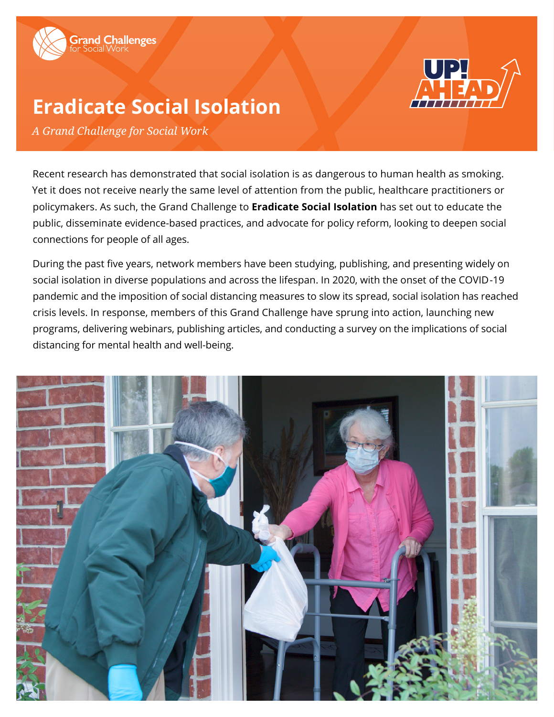



# **Eradicate Social Isolation**

*A Grand Challenge for Social Work*

Recent research has demonstrated that social isolation is as dangerous to human health as smoking. Yet it does not receive nearly the same level of attention from the public, healthcare practitioners or policymakers. As such, the Grand Challenge to **Eradicate Social Isolation** has set out to educate the public, disseminate evidence-based practices, and advocate for policy reform, looking to deepen social connections for people of all ages.

During the past five years, network members have been studying, publishing, and presenting widely on social isolation in diverse populations and across the lifespan. In 2020, with the onset of the COVID-19 pandemic and the imposition of social distancing measures to slow its spread, social isolation has reached crisis levels. In response, members of this Grand Challenge have sprung into action, launching new programs, delivering webinars, publishing articles, and conducting a survey on the implications of social distancing for mental health and well-being.